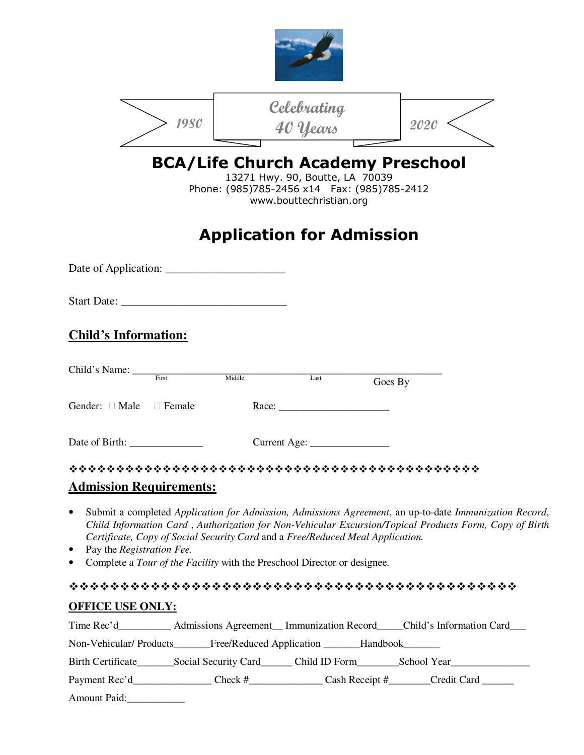|                                                          |      | 1980                           |                                                                                                                                                            | Celebrating<br>40 Years                                    |         | 2020                                                                                                                                                                                                             |
|----------------------------------------------------------|------|--------------------------------|------------------------------------------------------------------------------------------------------------------------------------------------------------|------------------------------------------------------------|---------|------------------------------------------------------------------------------------------------------------------------------------------------------------------------------------------------------------------|
|                                                          |      |                                | <b>BCA/Life Church Academy Preschool</b><br>Phone: (985)785-2456 x14    Fax: (985)785-2412<br><b>Application for Admission</b>                             | 13271 Hwy. 90, Boutte, LA 70039<br>www.bouttechristian.org |         |                                                                                                                                                                                                                  |
|                                                          |      |                                |                                                                                                                                                            |                                                            |         |                                                                                                                                                                                                                  |
|                                                          |      |                                | Start Date:                                                                                                                                                |                                                            |         |                                                                                                                                                                                                                  |
| <b>Child's Information:</b>                              |      |                                |                                                                                                                                                            |                                                            |         |                                                                                                                                                                                                                  |
| Child's Name: First                                      |      |                                | Middle                                                                                                                                                     | Last                                                       | Goes By |                                                                                                                                                                                                                  |
| Gender:                                                  | Male | Female                         |                                                                                                                                                            | Race:                                                      |         |                                                                                                                                                                                                                  |
| Date of Birth:                                           |      |                                | Current Age:                                                                                                                                               |                                                            |         |                                                                                                                                                                                                                  |
|                                                          |      | <b>Admission Requirements:</b> |                                                                                                                                                            |                                                            |         |                                                                                                                                                                                                                  |
| $\bullet$<br>Pay the Registration Fee.<br>$\bullet$<br>٠ |      |                                | Certificate, Copy of Social Security Card and a Free/Reduced Meal Application.<br>Complete a Tour of the Facility with the Preschool Director or designee. |                                                            |         | Submit a completed Application for Admission, Admissions Agreement, an up-to-date Immunization Record,<br>Child Information Card, Authorization for Non-Vehicular Excursion/Topical Products Form, Copy of Birth |
|                                                          |      |                                |                                                                                                                                                            |                                                            |         |                                                                                                                                                                                                                  |

## **OFFICE USE ONLY:** Time Rec'd\_\_\_\_\_\_\_\_\_\_ Admissions Agreement\_\_ Immunization Record\_\_\_\_Child's Information Card\_\_\_ Non-Vehicular/ Products\_\_\_\_\_\_Free/Reduced Application \_\_\_\_\_\_Handbook\_\_\_\_\_\_\_ Birth Certificate\_\_\_\_\_\_\_Social Security Card\_\_\_\_\_\_ Child ID Form\_\_\_\_\_\_\_\_School Year\_\_\_\_\_\_\_\_\_\_\_\_\_\_\_ Payment Rec'd\_\_\_\_\_\_\_\_\_\_\_\_\_\_\_\_\_Check #\_\_\_\_\_\_\_\_\_\_\_\_\_\_\_\_Cash Receipt #\_\_\_\_\_\_\_Credit Card \_\_\_\_\_\_\_\_\_\_\_\_\_

Amount Paid: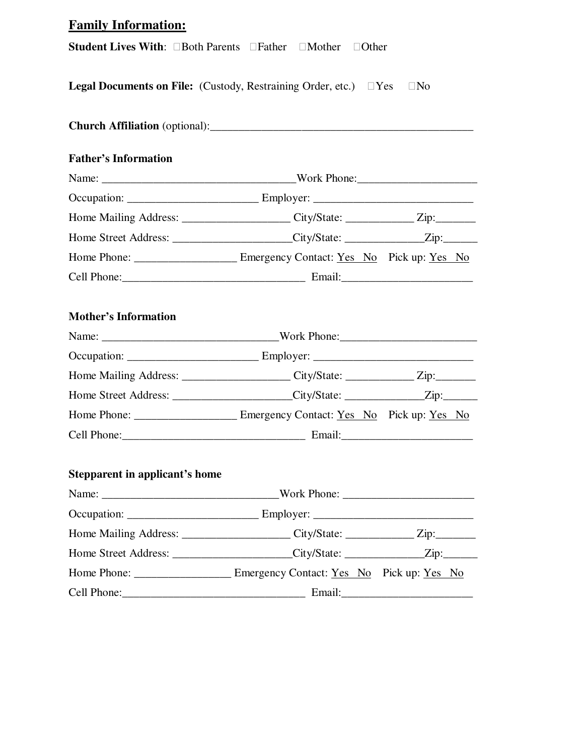| <b>Family Information:</b>                                                        |       |                |  |
|-----------------------------------------------------------------------------------|-------|----------------|--|
| <b>Student Lives With:</b> Both Parents Father Mother                             | Other |                |  |
| <b>Legal Documents on File:</b> (Custody, Restraining Order, etc.) Yes            |       | N <sub>o</sub> |  |
|                                                                                   |       |                |  |
| <b>Father's Information</b>                                                       |       |                |  |
|                                                                                   |       |                |  |
|                                                                                   |       |                |  |
|                                                                                   |       |                |  |
| Home Street Address: ______________________City/State: _______________Zip:_______ |       |                |  |
|                                                                                   |       |                |  |
|                                                                                   |       |                |  |
| <b>Mother's Information</b>                                                       |       |                |  |
|                                                                                   |       |                |  |
|                                                                                   |       |                |  |
|                                                                                   |       |                |  |
| Home Street Address: ______________________City/State: ______________Zip:_______  |       |                |  |
|                                                                                   |       |                |  |
| Cell Phone: Email:                                                                |       |                |  |
| <b>Stepparent in applicant's home</b>                                             |       |                |  |
|                                                                                   |       |                |  |
|                                                                                   |       |                |  |
| Home Mailing Address: ______________________City/State: _____________Zip:________ |       |                |  |
| Home Street Address: ______________________City/State: ______________Zip:_______  |       |                |  |
| Home Phone: _________________________ Emergency Contact: Yes No Pick up: Yes No   |       |                |  |
|                                                                                   |       |                |  |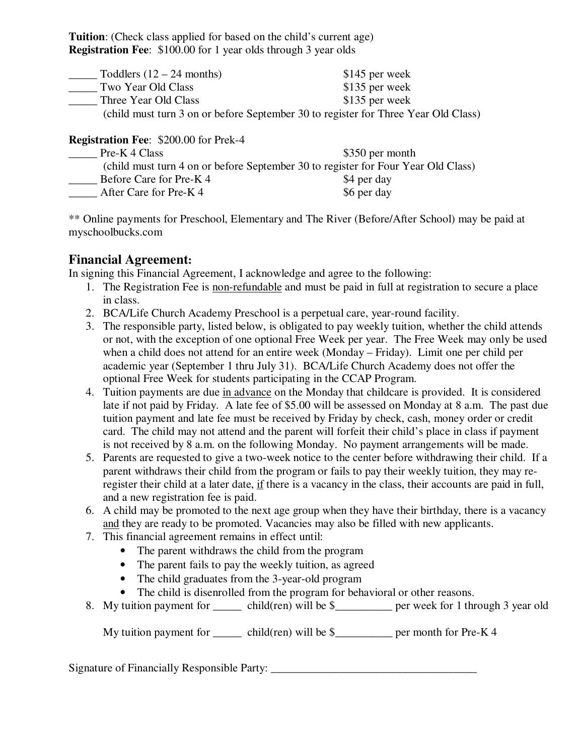**Tuition**: (Check class applied for based on the child's current age) **Registration Fee**: \$100.00 for 1 year olds through 3 year olds

| Toddlers $(12 – 24$ months) | \$145 per week                                                                     |
|-----------------------------|------------------------------------------------------------------------------------|
| Two Year Old Class          | \$135 per week                                                                     |
| Three Year Old Class        | \$135 per week                                                                     |
|                             | (child must turn 3 on or before September 30 to register for Three Year Old Class) |

**Registration Fee**: \$200.00 for Prek-4

| Pre-K 4 Class          | \$350 per month                                                                   |
|------------------------|-----------------------------------------------------------------------------------|
|                        | (child must turn 4 on or before September 30 to register for Four Year Old Class) |
| Before Care for Pre-K4 | \$4 per day                                                                       |
| After Care for Pre-K4  | \$6 per day                                                                       |

\*\* Online payments for Preschool, Elementary and The River (Before/After School) may be paid at myschoolbucks.com

### **Financial Agreement:**

In signing this Financial Agreement, I acknowledge and agree to the following:

- 1. The Registration Fee is non-refundable and must be paid in full at registration to secure a place in class.
- 2. BCA/Life Church Academy Preschool is a perpetual care, year-round facility.
- 3. The responsible party, listed below, is obligated to pay weekly tuition, whether the child attends or not, with the exception of one optional Free Week per year. The Free Week may only be used when a child does not attend for an entire week (Monday – Friday). Limit one per child per academic year (September 1 thru July 31). BCA/Life Church Academy does not offer the optional Free Week for students participating in the CCAP Program.
- 4. Tuition payments are due in advance on the Monday that childcare is provided. It is considered late if not paid by Friday. A late fee of \$5.00 will be assessed on Monday at 8 a.m. The past due tuition payment and late fee must be received by Friday by check, cash, money order or credit card. The child may not attend and the parent will forfeit their child's place in class if payment is not received by 8 a.m. on the following Monday. No payment arrangements will be made.
- 5. Parents are requested to give a two-week notice to the center before withdrawing their child. If a parent withdraws their child from the program or fails to pay their weekly tuition, they may reregister their child at a later date, if there is a vacancy in the class, their accounts are paid in full, and a new registration fee is paid.
- 6. A child may be promoted to the next age group when they have their birthday, there is a vacancy and they are ready to be promoted. Vacancies may also be filled with new applicants.
- 7. This financial agreement remains in effect until:
	- The parent withdraws the child from the program
	- The parent fails to pay the weekly tuition, as agreed
	- The child graduates from the 3-year-old program
	- The child is disenrolled from the program for behavioral or other reasons.
- 8. My tuition payment for  $\qquad$  child(ren) will be \$ $\qquad$  per week for 1 through 3 year old

My tuition payment for  $\qquad$  child(ren) will be \$ $\qquad \qquad$  per month for Pre-K 4

Signature of Financially Responsible Party: \_\_\_\_\_\_\_\_\_\_\_\_\_\_\_\_\_\_\_\_\_\_\_\_\_\_\_\_\_\_\_\_\_\_\_\_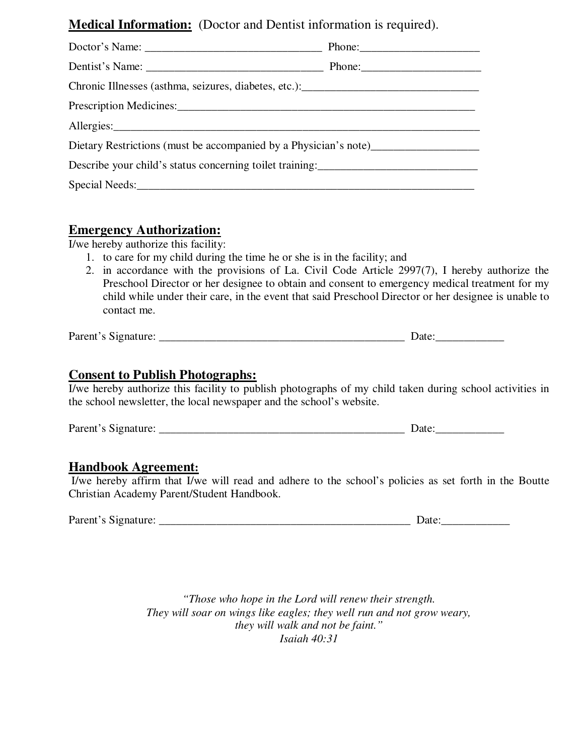### **Medical Information:** (Doctor and Dentist information is required).

| Dietary Restrictions (must be accompanied by a Physician's note)                  |  |
|-----------------------------------------------------------------------------------|--|
| Describe your child's status concerning toilet training: ________________________ |  |
| Special Needs:                                                                    |  |

### **Emergency Authorization:**

I/we hereby authorize this facility:

- 1. to care for my child during the time he or she is in the facility; and
- 2. in accordance with the provisions of La. Civil Code Article 2997(7), I hereby authorize the Preschool Director or her designee to obtain and consent to emergency medical treatment for my child while under their care, in the event that said Preschool Director or her designee is unable to contact me.

Parent's Signature: \_\_\_\_\_\_\_\_\_\_\_\_\_\_\_\_\_\_\_\_\_\_\_\_\_\_\_\_\_\_\_\_\_\_\_\_\_\_\_\_\_\_\_ Date:\_\_\_\_\_\_\_\_\_\_\_\_

#### **Consent to Publish Photographs:**

I/we hereby authorize this facility to publish photographs of my child taken during school activities in the school newsletter, the local newspaper and the school's website.

Parent's Signature: \_\_\_\_\_\_\_\_\_\_\_\_\_\_\_\_\_\_\_\_\_\_\_\_\_\_\_\_\_\_\_\_\_\_\_\_\_\_\_\_\_\_\_ Date:\_\_\_\_\_\_\_\_\_\_\_\_

#### **Handbook Agreement:**

 I/we hereby affirm that I/we will read and adhere to the school's policies as set forth in the Boutte Christian Academy Parent/Student Handbook.

| Parent's Signature: |  |
|---------------------|--|
|---------------------|--|

*"Those who hope in the Lord will renew their strength. They will soar on wings like eagles; they well run and not grow weary, they will walk and not be faint." Isaiah 40:31*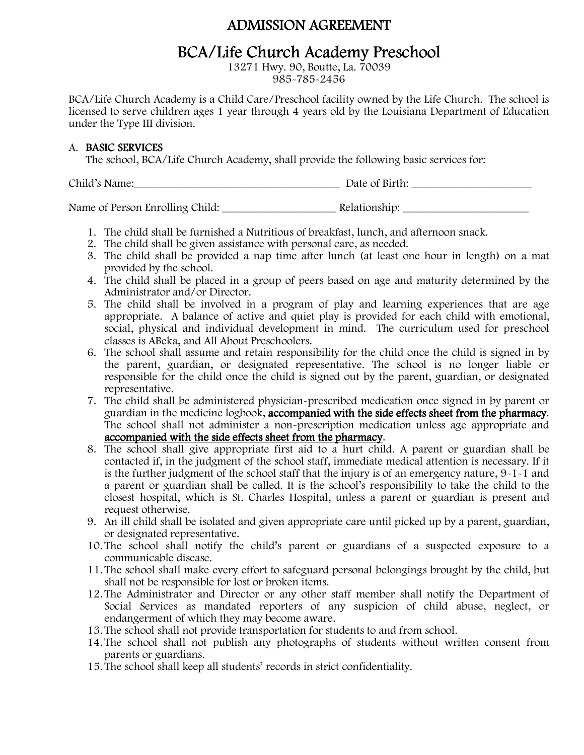### ADMISSION AGREEMENT

## BCA/Life Church Academy Preschool

13271 Hwy. 90, Boutte, La. 70039 985-785-2456

BCA/Life Church Academy is a Child Care/Preschool facility owned by the Life Church. The school is licensed to serve children ages 1 year through 4 years old by the Louisiana Department of Education under the Type III division.

#### A. BASIC SERVICES

The school, BCA/Life Church Academy, shall provide the following basic services for:

Child's Name:\_\_\_\_\_\_\_\_\_\_\_\_\_\_\_\_\_\_\_\_\_\_\_\_\_\_\_\_\_\_\_\_\_\_\_\_ Date of Birth: \_\_\_\_\_\_\_\_\_\_\_\_\_\_\_\_\_\_\_\_\_

Name of Person Enrolling Child: The Relationship:

- 1. The child shall be furnished a Nutritious of breakfast, lunch, and afternoon snack.
- 2. The child shall be given assistance with personal care, as needed.
- 3. The child shall be provided a nap time after lunch (at least one hour in length) on a mat provided by the school.
- 4. The child shall be placed in a group of peers based on age and maturity determined by the Administrator and/or Director.
- 5. The child shall be involved in a program of play and learning experiences that are age appropriate. A balance of active and quiet play is provided for each child with emotional, social, physical and individual development in mind. The curriculum used for preschool classes is ABeka, and All About Preschoolers.
- 6. The school shall assume and retain responsibility for the child once the child is signed in by the parent, guardian, or designated representative. The school is no longer liable or responsible for the child once the child is signed out by the parent, guardian, or designated representative.
- 7. The child shall be administered physician-prescribed medication once signed in by parent or guardian in the medicine logbook, **accompanied with the side effects sheet from the pharmacy**. The school shall not administer a non-prescription medication unless age appropriate and accompanied with the side effects sheet from the pharmacy.
- 8. The school shall give appropriate first aid to a hurt child. A parent or guardian shall be contacted if, in the judgment of the school staff, immediate medical attention is necessary. If it is the further judgment of the school staff that the injury is of an emergency nature, 9-1-1 and a parent or guardian shall be called. It is the school's responsibility to take the child to the closest hospital, which is St. Charles Hospital, unless a parent or guardian is present and request otherwise.
- 9. An ill child shall be isolated and given appropriate care until picked up by a parent, guardian, or designated representative.
- 10. The school shall notify the child's parent or guardians of a suspected exposure to a communicable disease.
- 11. The school shall make every effort to safeguard personal belongings brought by the child, but shall not be responsible for lost or broken items.
- 12. The Administrator and Director or any other staff member shall notify the Department of Social Services as mandated reporters of any suspicion of child abuse, neglect, or endangerment of which they may become aware.
- 13. The school shall not provide transportation for students to and from school.
- 14. The school shall not publish any photographs of students without written consent from parents or guardians.
- 15. The school shall keep all students' records in strict confidentiality.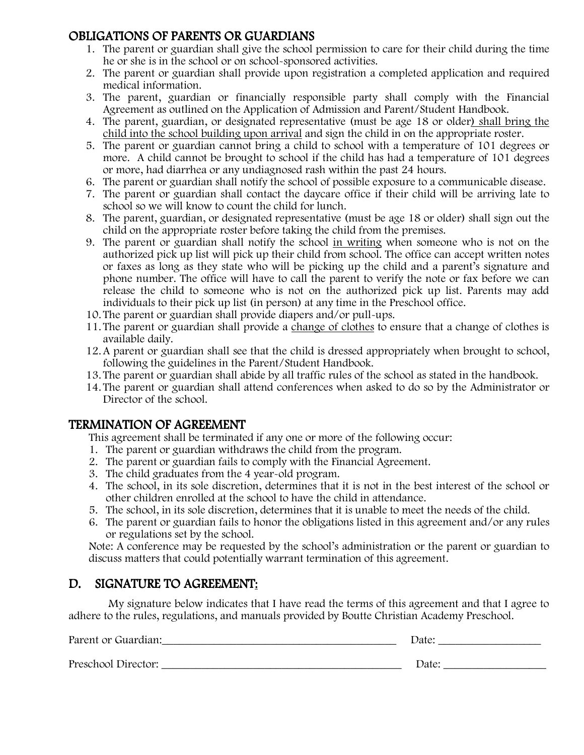### OBLIGATIONS OF PARENTS OR GUARDIANS

- 1. The parent or guardian shall give the school permission to care for their child during the time he or she is in the school or on school-sponsored activities.
- 2. The parent or guardian shall provide upon registration a completed application and required medical information.
- 3. The parent, guardian or financially responsible party shall comply with the Financial Agreement as outlined on the Application of Admission and Parent/Student Handbook.
- 4. The parent, guardian, or designated representative (must be age 18 or older) shall bring the child into the school building upon arrival and sign the child in on the appropriate roster.
- 5. The parent or guardian cannot bring a child to school with a temperature of 101 degrees or more. A child cannot be brought to school if the child has had a temperature of 101 degrees or more, had diarrhea or any undiagnosed rash within the past 24 hours.
- 6. The parent or guardian shall notify the school of possible exposure to a communicable disease.
- 7. The parent or guardian shall contact the daycare office if their child will be arriving late to school so we will know to count the child for lunch.
- 8. The parent, guardian, or designated representative (must be age 18 or older) shall sign out the child on the appropriate roster before taking the child from the premises.
- 9. The parent or guardian shall notify the school in writing when someone who is not on the authorized pick up list will pick up their child from school. The office can accept written notes or faxes as long as they state who will be picking up the child and a parent's signature and phone number. The office will have to call the parent to verify the note or fax before we can release the child to someone who is not on the authorized pick up list. Parents may add individuals to their pick up list (in person) at any time in the Preschool office.
- 10. The parent or guardian shall provide diapers and/or pull-ups.
- 11. The parent or guardian shall provide a change of clothes to ensure that a change of clothes is available daily.
- 12.A parent or guardian shall see that the child is dressed appropriately when brought to school, following the guidelines in the Parent/Student Handbook.
- 13. The parent or guardian shall abide by all traffic rules of the school as stated in the handbook.
- 14. The parent or guardian shall attend conferences when asked to do so by the Administrator or Director of the school.

### TERMINATION OF AGREEMENT

This agreement shall be terminated if any one or more of the following occur:

- 1. The parent or guardian withdraws the child from the program.
- 2. The parent or guardian fails to comply with the Financial Agreement.
- 3. The child graduates from the 4 year-old program.
- 4. The school, in its sole discretion, determines that it is not in the best interest of the school or other children enrolled at the school to have the child in attendance.
- 5. The school, in its sole discretion, determines that it is unable to meet the needs of the child.
- 6. The parent or guardian fails to honor the obligations listed in this agreement and/or any rules or regulations set by the school.

Note: A conference may be requested by the school's administration or the parent or guardian to discuss matters that could potentially warrant termination of this agreement.

### D. SIGNATURE TO AGREEMENT:

 My signature below indicates that I have read the terms of this agreement and that I agree to adhere to the rules, regulations, and manuals provided by Boutte Christian Academy Preschool.

| Parent or Guardian: | Date: |
|---------------------|-------|
| Preschool Director: | Date: |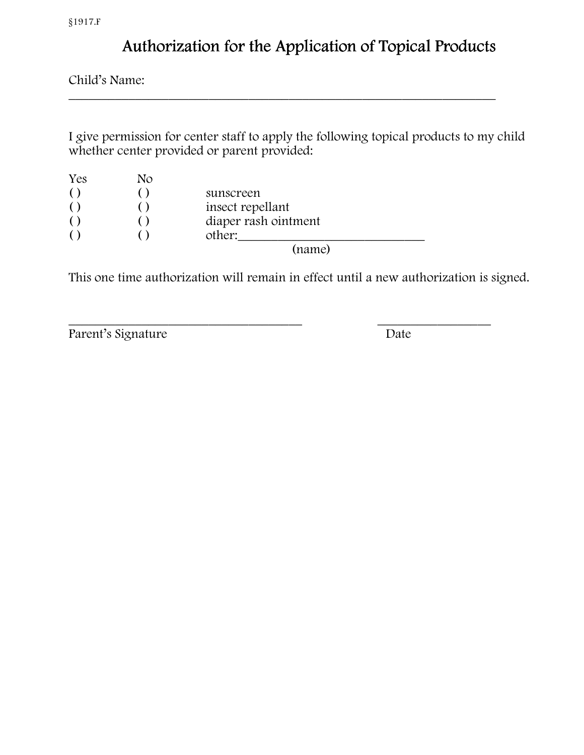# Authorization for the Application of Topical Products

Child's Name:

I give permission for center staff to apply the following topical products to my child whether center provided or parent provided:

\_\_\_\_\_\_\_\_\_\_\_\_\_\_\_\_\_\_\_\_\_\_\_\_\_\_\_\_\_\_\_\_\_\_\_\_\_\_\_\_\_\_\_\_\_\_\_\_\_\_\_\_\_\_\_\_\_\_\_\_\_\_\_\_

| Yes | No |                      |  |
|-----|----|----------------------|--|
|     |    | sunscreen            |  |
|     |    | insect repellant     |  |
|     |    | diaper rash ointment |  |
|     |    | other:               |  |
|     |    | (name)               |  |

This one time authorization will remain in effect until a new authorization is signed.

\_\_\_\_\_\_\_\_\_\_\_\_\_\_\_\_\_\_\_\_\_\_\_\_\_\_\_\_\_\_\_\_\_\_\_ \_\_\_\_\_\_\_\_\_\_\_\_\_\_\_\_\_ Parent's Signature Date